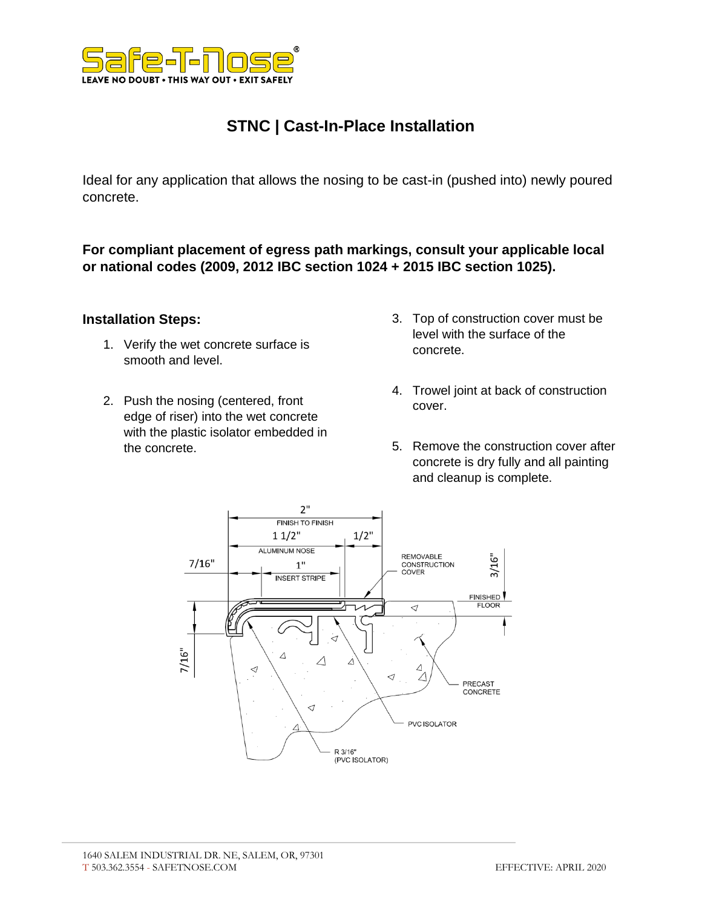

# **STNC | Cast-In-Place Installation**

Ideal for any application that allows the nosing to be cast-in (pushed into) newly poured concrete.

**For compliant placement of egress path markings, consult your applicable local or national codes (2009, 2012 IBC section 1024 + 2015 IBC section 1025).**

#### **Installation Steps:**

- 1. Verify the wet concrete surface is smooth and level.
- 2. Push the nosing (centered, front edge of riser) into the wet concrete with the plastic isolator embedded in the concrete.
- 3. Top of construction cover must be level with the surface of the concrete.
- 4. Trowel joint at back of construction cover.
- 5. Remove the construction cover after concrete is dry fully and all painting and cleanup is complete.